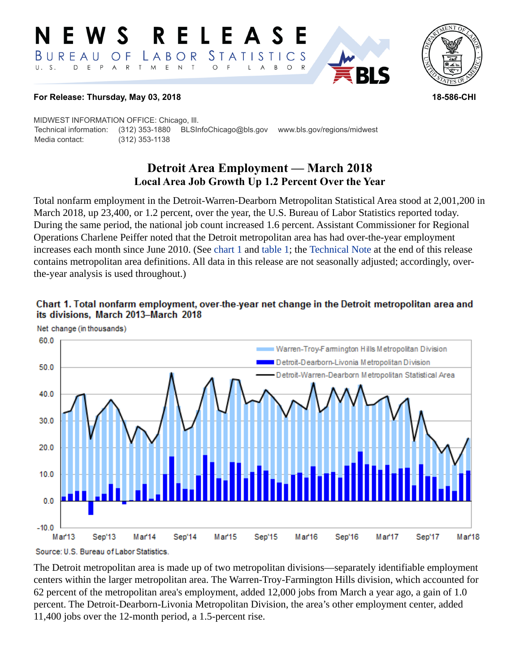#### R. ELEA *STATISTICS*  $B$  U R E A U LABOR O F  $\mathsf E$  $\top$  $U. S.$  $E$  $P$  $\overline{A}$  ${\sf R}$  $\top$ M  $\mathsf{N}$  $\circ$  $\mathsf{B}$  $\circ$ A



#### **For Release: Thursday, May 03, 2018 18-586-CHI**

MIDWEST INFORMATION OFFICE: Chicago, Ill. Technical information: (312) 353-1880 BLSInfoChicago@bls.gov www.bls.gov/regions/midwest Media contact: (312) 353-1138

# **Detroit Area Employment — March 2018 Local Area Job Growth Up 1.2 Percent Over the Year**

Total nonfarm employment in the Detroit-Warren-Dearborn Metropolitan Statistical Area stood at 2,001,200 in March 2018, up 23,400, or 1.2 percent, over the year, the U.S. Bureau of Labor Statistics reported today. During the same period, the national job count increased 1.6 percent. Assistant Commissioner for Regional Operations Charlene Peiffer noted that the Detroit metropolitan area has had over-the-year employment increases each month since June 2010. (See [chart 1](#page-0-0) and [table 1;](#page-4-0) the [Technical Note](#page-2-0) at the end of this release contains metropolitan area definitions. All data in this release are not seasonally adjusted; accordingly, overthe-year analysis is used throughout.)

<span id="page-0-0"></span>



The Detroit metropolitan area is made up of two metropolitan divisions—separately identifiable employment centers within the larger metropolitan area. The Warren-Troy-Farmington Hills division, which accounted for 62 percent of the metropolitan area's employment, added 12,000 jobs from March a year ago, a gain of 1.0 percent. The Detroit-Dearborn-Livonia Metropolitan Division, the area's other employment center, added 11,400 jobs over the 12-month period, a 1.5-percent rise.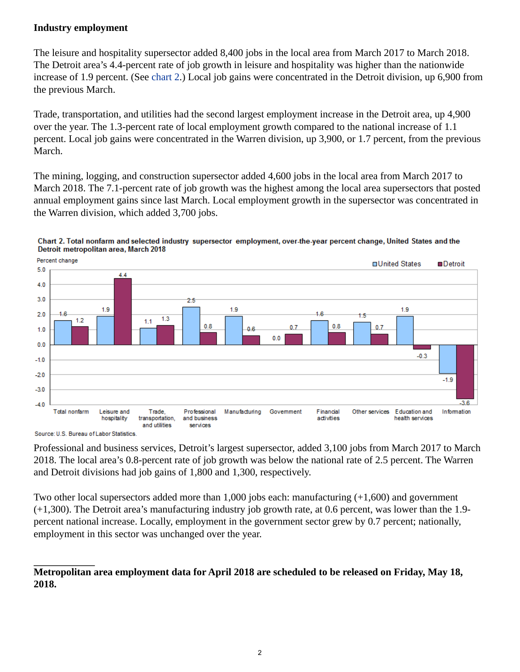## **Industry employment**

The leisure and hospitality supersector added 8,400 jobs in the local area from March 2017 to March 2018. The Detroit area's 4.4-percent rate of job growth in leisure and hospitality was higher than the nationwide increase of 1.9 percent. (See [chart 2](#page-1-0).) Local job gains were concentrated in the Detroit division, up 6,900 from the previous March.

Trade, transportation, and utilities had the second largest employment increase in the Detroit area, up 4,900 over the year. The 1.3-percent rate of local employment growth compared to the national increase of 1.1 percent. Local job gains were concentrated in the Warren division, up 3,900, or 1.7 percent, from the previous March.

The mining, logging, and construction supersector added 4,600 jobs in the local area from March 2017 to March 2018. The 7.1-percent rate of job growth was the highest among the local area supersectors that posted annual employment gains since last March. Local employment growth in the supersector was concentrated in the Warren division, which added 3,700 jobs.



<span id="page-1-0"></span>Chart 2. Total nonfarm and selected industry supersector employment, over-the-year percent change, United States and the Detroit metropolitan area, March 2018

Source: U.S. Bureau of Labor Statistics

Professional and business services, Detroit's largest supersector, added 3,100 jobs from March 2017 to March 2018. The local area's 0.8-percent rate of job growth was below the national rate of 2.5 percent. The Warren and Detroit divisions had job gains of 1,800 and 1,300, respectively.

Two other local supersectors added more than 1,000 jobs each: manufacturing (+1,600) and government (+1,300). The Detroit area's manufacturing industry job growth rate, at 0.6 percent, was lower than the 1.9 percent national increase. Locally, employment in the government sector grew by 0.7 percent; nationally, employment in this sector was unchanged over the year.

## **Metropolitan area employment data for April 2018 are scheduled to be released on Friday, May 18, 2018.**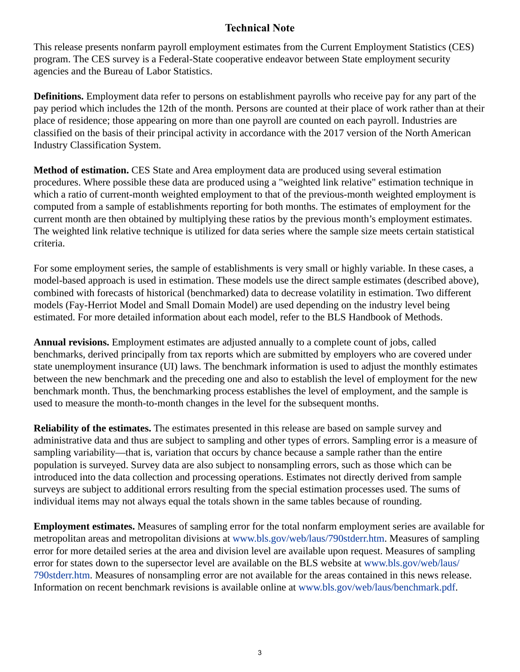## **Technical Note**

<span id="page-2-0"></span>This release presents nonfarm payroll employment estimates from the Current Employment Statistics (CES) program. The CES survey is a Federal-State cooperative endeavor between State employment security agencies and the Bureau of Labor Statistics.

**Definitions.** Employment data refer to persons on establishment payrolls who receive pay for any part of the pay period which includes the 12th of the month. Persons are counted at their place of work rather than at their place of residence; those appearing on more than one payroll are counted on each payroll. Industries are classified on the basis of their principal activity in accordance with the 2017 version of the North American Industry Classification System.

**Method of estimation.** CES State and Area employment data are produced using several estimation procedures. Where possible these data are produced using a "weighted link relative" estimation technique in which a ratio of current-month weighted employment to that of the previous-month weighted employment is computed from a sample of establishments reporting for both months. The estimates of employment for the current month are then obtained by multiplying these ratios by the previous month's employment estimates. The weighted link relative technique is utilized for data series where the sample size meets certain statistical criteria.

For some employment series, the sample of establishments is very small or highly variable. In these cases, a model-based approach is used in estimation. These models use the direct sample estimates (described above), combined with forecasts of historical (benchmarked) data to decrease volatility in estimation. Two different models (Fay-Herriot Model and Small Domain Model) are used depending on the industry level being estimated. For more detailed information about each model, refer to the BLS Handbook of Methods.

**Annual revisions.** Employment estimates are adjusted annually to a complete count of jobs, called benchmarks, derived principally from tax reports which are submitted by employers who are covered under state unemployment insurance (UI) laws. The benchmark information is used to adjust the monthly estimates between the new benchmark and the preceding one and also to establish the level of employment for the new benchmark month. Thus, the benchmarking process establishes the level of employment, and the sample is used to measure the month-to-month changes in the level for the subsequent months.

**Reliability of the estimates.** The estimates presented in this release are based on sample survey and administrative data and thus are subject to sampling and other types of errors. Sampling error is a measure of sampling variability—that is, variation that occurs by chance because a sample rather than the entire population is surveyed. Survey data are also subject to nonsampling errors, such as those which can be introduced into the data collection and processing operations. Estimates not directly derived from sample surveys are subject to additional errors resulting from the special estimation processes used. The sums of individual items may not always equal the totals shown in the same tables because of rounding.

**Employment estimates.** Measures of sampling error for the total nonfarm employment series are available for metropolitan areas and metropolitan divisions at [www.bls.gov/web/laus/790stderr.htm.](https://www.bls.gov/web/laus/790stderr.htm) Measures of sampling error for more detailed series at the area and division level are available upon request. Measures of sampling error for states down to the supersector level are available on the BLS website at [www.bls.gov/web/laus/](https://www.bls.gov/web/laus/790stderr.htm) [790stderr.htm.](https://www.bls.gov/web/laus/790stderr.htm) Measures of nonsampling error are not available for the areas contained in this news release. Information on recent benchmark revisions is available online at [www.bls.gov/web/laus/benchmark.pdf](https://www.bls.gov/web/laus/benchmark.pdf).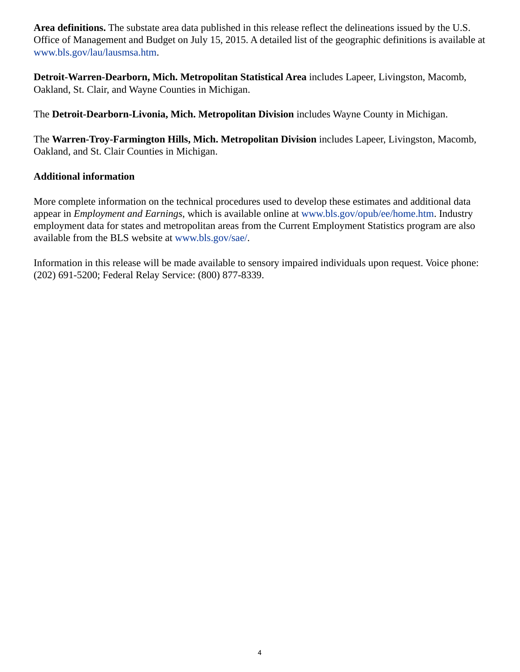**Area definitions.** The substate area data published in this release reflect the delineations issued by the U.S. Office of Management and Budget on July 15, 2015. A detailed list of the geographic definitions is available at [www.bls.gov/lau/lausmsa.htm](https://www.bls.gov/lau/lausmsa.htm).

**Detroit-Warren-Dearborn, Mich. Metropolitan Statistical Area** includes Lapeer, Livingston, Macomb, Oakland, St. Clair, and Wayne Counties in Michigan.

The **Detroit-Dearborn-Livonia, Mich. Metropolitan Division** includes Wayne County in Michigan.

The **Warren-Troy-Farmington Hills, Mich. Metropolitan Division** includes Lapeer, Livingston, Macomb, Oakland, and St. Clair Counties in Michigan.

#### **Additional information**

More complete information on the technical procedures used to develop these estimates and additional data appear in *Employment and Earnings*, which is available online at [www.bls.gov/opub/ee/home.htm](https://www.bls.gov/opub/ee/home.htm). Industry employment data for states and metropolitan areas from the Current Employment Statistics program are also available from the BLS website at [www.bls.gov/sae/](https://www.bls.gov/sae/).

Information in this release will be made available to sensory impaired individuals upon request. Voice phone: (202) 691-5200; Federal Relay Service: (800) 877-8339.